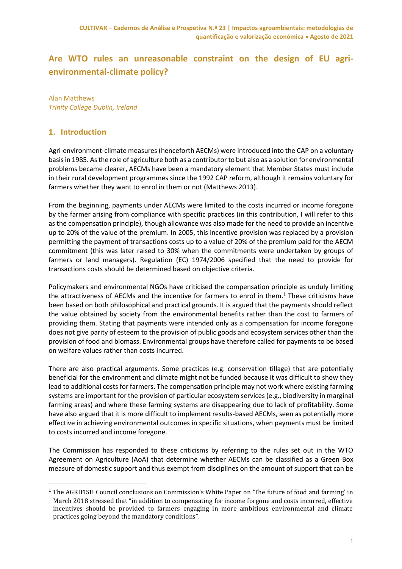# **Are WTO rules an unreasonable constraint on the design of EU agrienvironmental-climate policy?**

Alan Matthews *Trinity College Dublin, Ireland*

# **1. Introduction**

**.** 

Agri-environment-climate measures (henceforth AECMs) were introduced into the CAP on a voluntary basis in 1985. As the role of agriculture both as a contributor to but also as a solution for environmental problems became clearer, AECMs have been a mandatory element that Member States must include in their rural development programmes since the 1992 CAP reform, although it remains voluntary for farmers whether they want to enrol in them or not (Matthews 2013).

From the beginning, payments under AECMs were limited to the costs incurred or income foregone by the farmer arising from compliance with specific practices (in this contribution, I will refer to this as the compensation principle), though allowance was also made for the need to provide an incentive up to 20% of the value of the premium. In 2005, this incentive provision was replaced by a provision permitting the payment of transactions costs up to a value of 20% of the premium paid for the AECM commitment (this was later raised to 30% when the commitments were undertaken by groups of farmers or land managers). Regulation (EC) 1974/2006 specified that the need to provide for transactions costs should be determined based on objective criteria.

Policymakers and environmental NGOs have criticised the compensation principle as unduly limiting the attractiveness of AECMs and the incentive for farmers to enrol in them.<sup>1</sup> These criticisms have been based on both philosophical and practical grounds. It is argued that the payments should reflect the value obtained by society from the environmental benefits rather than the cost to farmers of providing them. Stating that payments were intended only as a compensation for income foregone does not give parity of esteem to the provision of public goods and ecosystem services other than the provision of food and biomass. Environmental groups have therefore called for payments to be based on welfare values rather than costs incurred.

There are also practical arguments. Some practices (e.g. conservation tillage) that are potentially beneficial for the environment and climate might not be funded because it was difficult to show they lead to additional costs for farmers. The compensation principle may not work where existing farming systems are important for the provision of particular ecosystem services (e.g., biodiversity in marginal farming areas) and where these farming systems are disappearing due to lack of profitability. Some have also argued that it is more difficult to implement results-based AECMs, seen as potentially more effective in achieving environmental outcomes in specific situations, when payments must be limited to costs incurred and income foregone.

The Commission has responded to these criticisms by referring to the rules set out in the WTO Agreement on Agriculture (AoA) that determine whether AECMs can be classified as a Green Box measure of domestic support and thus exempt from disciplines on the amount of support that can be

<sup>&</sup>lt;sup>1</sup> The AGRIFISH Council conclusions on Commission's White Paper on 'The future of food and farming' in March 2018 stressed that "in addition to compensating for income forgone and costs incurred, effective incentives should be provided to farmers engaging in more ambitious environmental and climate practices going beyond the mandatory conditions".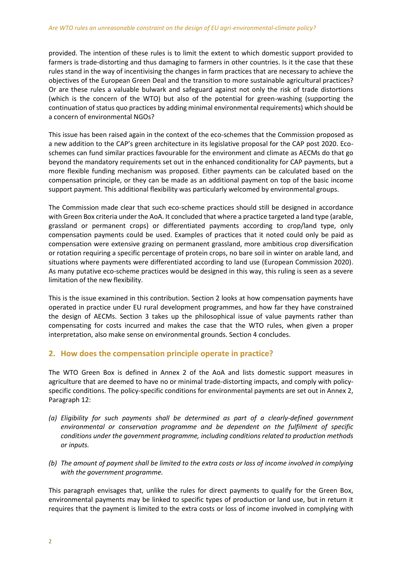provided. The intention of these rules is to limit the extent to which domestic support provided to farmers is trade-distorting and thus damaging to farmers in other countries. Is it the case that these rules stand in the way of incentivising the changes in farm practices that are necessary to achieve the objectives of the European Green Deal and the transition to more sustainable agricultural practices? Or are these rules a valuable bulwark and safeguard against not only the risk of trade distortions (which is the concern of the WTO) but also of the potential for green-washing (supporting the continuation of status quo practices by adding minimal environmental requirements) which should be a concern of environmental NGOs?

This issue has been raised again in the context of the eco-schemes that the Commission proposed as a new addition to the CAP's green architecture in its legislative proposal for the CAP post 2020. Ecoschemes can fund similar practices favourable for the environment and climate as AECMs do that go beyond the mandatory requirements set out in the enhanced conditionality for CAP payments, but a more flexible funding mechanism was proposed. Either payments can be calculated based on the compensation principle, or they can be made as an additional payment on top of the basic income support payment. This additional flexibility was particularly welcomed by environmental groups.

The Commission made clear that such eco-scheme practices should still be designed in accordance with Green Box criteria under the AoA. It concluded that where a practice targeted a land type (arable, grassland or permanent crops) or differentiated payments according to crop/land type, only compensation payments could be used. Examples of practices that it noted could only be paid as compensation were extensive grazing on permanent grassland, more ambitious crop diversification or rotation requiring a specific percentage of protein crops, no bare soil in winter on arable land, and situations where payments were differentiated according to land use (European Commission 2020). As many putative eco-scheme practices would be designed in this way, this ruling is seen as a severe limitation of the new flexibility.

This is the issue examined in this contribution. Section 2 looks at how compensation payments have operated in practice under EU rural development programmes, and how far they have constrained the design of AECMs. Section 3 takes up the philosophical issue of value payments rather than compensating for costs incurred and makes the case that the WTO rules, when given a proper interpretation, also make sense on environmental grounds. Section 4 concludes.

# **2. How does the compensation principle operate in practice?**

The WTO Green Box is defined in Annex 2 of the AoA and lists domestic support measures in agriculture that are deemed to have no or minimal trade-distorting impacts, and comply with policyspecific conditions. The policy-specific conditions for environmental payments are set out in Annex 2, Paragraph 12:

- *(a) Eligibility for such payments shall be determined as part of a clearly-defined government environmental or conservation programme and be dependent on the fulfilment of specific conditions under the government programme, including conditions related to production methods or inputs.*
- *(b) The amount of payment shall be limited to the extra costs or loss of income involved in complying with the government programme.*

This paragraph envisages that, unlike the rules for direct payments to qualify for the Green Box, environmental payments may be linked to specific types of production or land use, but in return it requires that the payment is limited to the extra costs or loss of income involved in complying with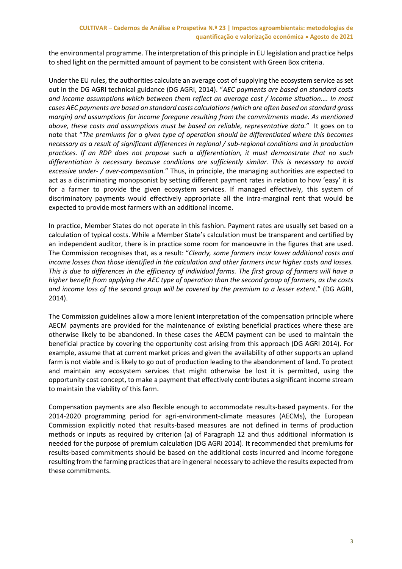#### **CULTIVAR – Cadernos de Análise e Prospetiva N.º 23 | Impactos agroambientais: metodologias de quantificação e valorização económica Agosto de 2021**

the environmental programme. The interpretation of this principle in EU legislation and practice helps to shed light on the permitted amount of payment to be consistent with Green Box criteria.

Under the EU rules, the authorities calculate an average cost of supplying the ecosystem service as set out in the DG AGRI technical guidance (DG AGRI, 2014). "*AEC payments are based on standard costs and income assumptions which between them reflect an average cost / income situation…. In most cases AEC payments are based on standard costs calculations (which are often based on standard gross margin) and assumptions for income foregone resulting from the commitments made. As mentioned above, these costs and assumptions must be based on reliable, representative data.*" It goes on to note that "*The premiums for a given type of operation should be differentiated where this becomes necessary as a result of significant differences in regional / sub-regional conditions and in production practices. If an RDP does not propose such a differentiation, it must demonstrate that no such differentiation is necessary because conditions are sufficiently similar. This is necessary to avoid excessive under- / over-compensation.*" Thus, in principle, the managing authorities are expected to act as a discriminating monopsonist by setting different payment rates in relation to how 'easy' it is for a farmer to provide the given ecosystem services. If managed effectively, this system of discriminatory payments would effectively appropriate all the intra-marginal rent that would be expected to provide most farmers with an additional income.

In practice, Member States do not operate in this fashion. Payment rates are usually set based on a calculation of typical costs. While a Member State's calculation must be transparent and certified by an independent auditor, there is in practice some room for manoeuvre in the figures that are used. The Commission recognises that, as a result: "*Clearly, some farmers incur lower additional costs and income losses than those identified in the calculation and other farmers incur higher costs and losses. This is due to differences in the efficiency of individual farms. The first group of farmers will have a higher benefit from applying the AEC type of operation than the second group of farmers, as the costs and income loss of the second group will be covered by the premium to a lesser extent*." (DG AGRI, 2014).

The Commission guidelines allow a more lenient interpretation of the compensation principle where AECM payments are provided for the maintenance of existing beneficial practices where these are otherwise likely to be abandoned. In these cases the AECM payment can be used to maintain the beneficial practice by covering the opportunity cost arising from this approach (DG AGRI 2014). For example, assume that at current market prices and given the availability of other supports an upland farm is not viable and is likely to go out of production leading to the abandonment of land. To protect and maintain any ecosystem services that might otherwise be lost it is permitted, using the opportunity cost concept, to make a payment that effectively contributes a significant income stream to maintain the viability of this farm.

Compensation payments are also flexible enough to accommodate results-based payments. For the 2014-2020 programming period for agri-environment-climate measures (AECMs), the European Commission explicitly noted that results-based measures are not defined in terms of production methods or inputs as required by criterion (a) of Paragraph 12 and thus additional information is needed for the purpose of premium calculation (DG AGRI 2014). It recommended that premiums for results-based commitments should be based on the additional costs incurred and income foregone resulting from the farming practices that are in general necessary to achieve the results expected from these commitments.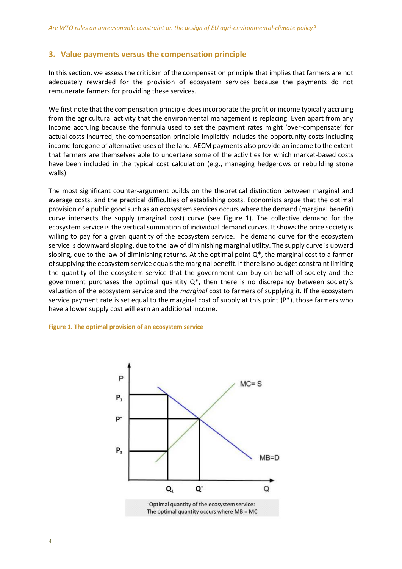### **3. Value payments versus the compensation principle**

In this section, we assess the criticism of the compensation principle that implies that farmers are not adequately rewarded for the provision of ecosystem services because the payments do not remunerate farmers for providing these services.

We first note that the compensation principle does incorporate the profit or income typically accruing from the agricultural activity that the environmental management is replacing. Even apart from any income accruing because the formula used to set the payment rates might 'over-compensate' for actual costs incurred, the compensation principle implicitly includes the opportunity costs including income foregone of alternative uses of the land. AECM payments also provide an income to the extent that farmers are themselves able to undertake some of the activities for which market-based costs have been included in the typical cost calculation (e.g., managing hedgerows or rebuilding stone walls).

The most significant counter-argument builds on the theoretical distinction between marginal and average costs, and the practical difficulties of establishing costs. Economists argue that the optimal provision of a public good such as an ecosystem services occurs where the demand (marginal benefit) curve intersects the supply (marginal cost) curve (see Figure 1). The collective demand for the ecosystem service is the vertical summation of individual demand curves. It shows the price society is willing to pay for a given quantity of the ecosystem service. The demand curve for the ecosystem service is downward sloping, due to the law of diminishing marginal utility. The supply curve is upward sloping, due to the law of diminishing returns. At the optimal point Q\*, the marginal cost to a farmer of supplying the ecosystem service equals the marginal benefit. If there is no budget constraint limiting the quantity of the ecosystem service that the government can buy on behalf of society and the government purchases the optimal quantity  $Q^*$ , then there is no discrepancy between society's valuation of the ecosystem service and the *marginal* cost to farmers of supplying it. If the ecosystem service payment rate is set equal to the marginal cost of supply at this point (P\*), those farmers who have a lower supply cost will earn an additional income.

#### **Figure 1. The optimal provision of an ecosystem service**

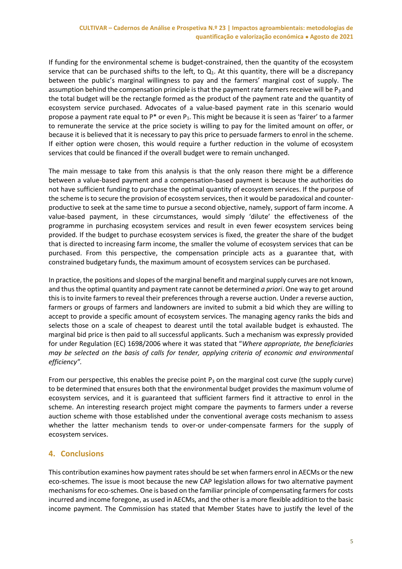If funding for the environmental scheme is budget-constrained, then the quantity of the ecosystem service that can be purchased shifts to the left, to  $Q_1$ . At this quantity, there will be a discrepancy between the public's marginal willingness to pay and the farmers' marginal cost of supply. The assumption behind the compensation principle is that the payment rate farmers receive will be  $P_3$  and the total budget will be the rectangle formed as the product of the payment rate and the quantity of ecosystem service purchased. Advocates of a value-based payment rate in this scenario would propose a payment rate equal to  $P^*$  or even  $P_1$ . This might be because it is seen as 'fairer' to a farmer to remunerate the service at the price society is willing to pay for the limited amount on offer, or because it is believed that it is necessary to pay this price to persuade farmers to enrol in the scheme. If either option were chosen, this would require a further reduction in the volume of ecosystem services that could be financed if the overall budget were to remain unchanged.

The main message to take from this analysis is that the only reason there might be a difference between a value-based payment and a compensation-based payment is because the authorities do not have sufficient funding to purchase the optimal quantity of ecosystem services. If the purpose of the scheme is to secure the provision of ecosystem services, then it would be paradoxical and counterproductive to seek at the same time to pursue a second objective, namely, support of farm income. A value-based payment, in these circumstances, would simply 'dilute' the effectiveness of the programme in purchasing ecosystem services and result in even fewer ecosystem services being provided. If the budget to purchase ecosystem services is fixed, the greater the share of the budget that is directed to increasing farm income, the smaller the volume of ecosystem services that can be purchased. From this perspective, the compensation principle acts as a guarantee that, with constrained budgetary funds, the maximum amount of ecosystem services can be purchased.

In practice, the positions and slopes of the marginal benefit and marginal supply curves are not known, and thus the optimal quantity and payment rate cannot be determined *a priori*. One way to get around this is to invite farmers to reveal their preferences through a reverse auction. Under a reverse auction, farmers or groups of farmers and landowners are invited to submit a bid which they are willing to accept to provide a specific amount of ecosystem services. The managing agency ranks the bids and selects those on a scale of cheapest to dearest until the total available budget is exhausted. The marginal bid price is then paid to all successful applicants. Such a mechanism was expressly provided for under Regulation (EC) 1698/2006 where it was stated that "*Where appropriate, the beneficiaries may be selected on the basis of calls for tender, applying criteria of economic and environmental efficiency".*

From our perspective, this enables the precise point  $P_3$  on the marginal cost curve (the supply curve) to be determined that ensures both that the environmental budget provides the maximum volume of ecosystem services, and it is guaranteed that sufficient farmers find it attractive to enrol in the scheme. An interesting research project might compare the payments to farmers under a reverse auction scheme with those established under the conventional average costs mechanism to assess whether the latter mechanism tends to over-or under-compensate farmers for the supply of ecosystem services.

# **4. Conclusions**

This contribution examines how payment rates should be set when farmers enrol in AECMs or the new eco-schemes. The issue is moot because the new CAP legislation allows for two alternative payment mechanisms for eco-schemes. One is based on the familiar principle of compensating farmers for costs incurred and income foregone, as used in AECMs, and the other is a more flexible addition to the basic income payment. The Commission has stated that Member States have to justify the level of the